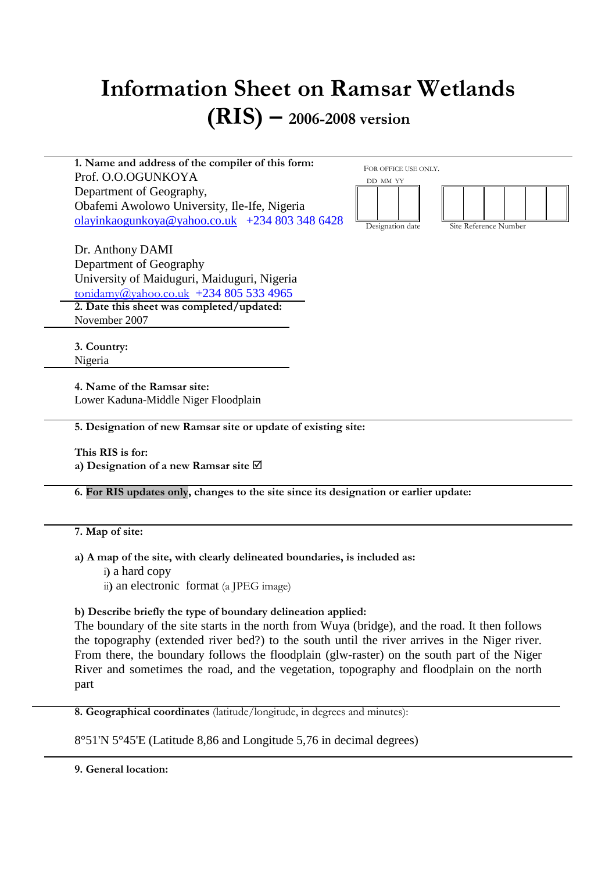# **Information Sheet on Ramsar Wetlands (RIS) – 2006-2008 version**

**1. Name and address of the compiler of this form:**  Prof. O.O.OGUNKOYA Department of Geography, Obafemi Awolowo University, Ile-Ife, Nigeria olayinkaogunkoya@yahoo.co.uk +234 803 348 6428

FOR OFFICE USE ONLY.



Dr. Anthony DAMI Department of Geography University of Maiduguri, Maiduguri, Nigeria tonidamy@yahoo.co.uk +234 805 533 4965 **2. Date this sheet was completed/updated:**  November 2007

**3. Country:**  Nigeria

**4. Name of the Ramsar site:**  Lower Kaduna-Middle Niger Floodplain

**5. Designation of new Ramsar site or update of existing site:** 

**This RIS is for: a) Designation of a new Ramsar site** 

**6. For RIS updates only, changes to the site since its designation or earlier update:** 

# **7. Map of site:**

**a) A map of the site, with clearly delineated boundaries, is included as:**

- i**)** a hard copy
- ii**)** an electronic format (a JPEG image)

**b) Describe briefly the type of boundary delineation applied:** 

The boundary of the site starts in the north from Wuya (bridge), and the road. It then follows the topography (extended river bed?) to the south until the river arrives in the Niger river. From there, the boundary follows the floodplain (glw-raster) on the south part of the Niger River and sometimes the road, and the vegetation, topography and floodplain on the north part

**8. Geographical coordinates** (latitude/longitude, in degrees and minutes):

8°51'N 5°45'E (Latitude 8,86 and Longitude 5,76 in decimal degrees)

**9. General location:**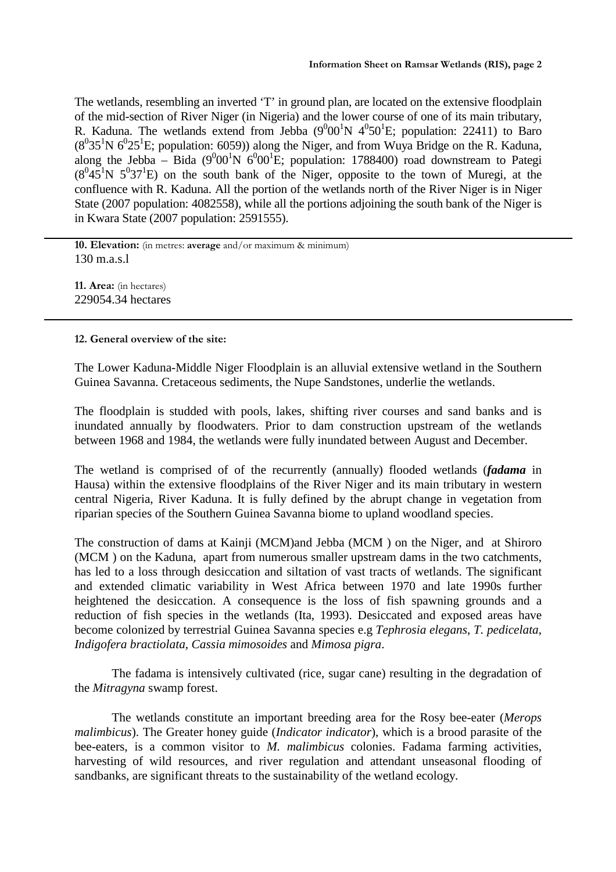The wetlands, resembling an inverted 'T' in ground plan, are located on the extensive floodplain of the mid-section of River Niger (in Nigeria) and the lower course of one of its main tributary, R. Kaduna. The wetlands extend from Jebba  $(9^000^1N 4^050^1E)$ ; population: 22411) to Baro  $(8^035^1N6^025^1E;$  population: 6059)) along the Niger, and from Wuya Bridge on the R. Kaduna, along the Jebba – Bida (9<sup>0</sup>00<sup>1</sup>N 6<sup>0</sup>00<sup>1</sup>E; population: 1788400) road downstream to Pategi  $(8^045^1N 5^037^1E)$  on the south bank of the Niger, opposite to the town of Muregi, at the confluence with R. Kaduna. All the portion of the wetlands north of the River Niger is in Niger State (2007 population: 4082558), while all the portions adjoining the south bank of the Niger is in Kwara State (2007 population: 2591555).

**10. Elevation:** (in metres: **average** and/or maximum & minimum) 130 m.a.s.l

**11. Area:** (in hectares) 229054.34 hectares

# **12. General overview of the site:**

The Lower Kaduna-Middle Niger Floodplain is an alluvial extensive wetland in the Southern Guinea Savanna. Cretaceous sediments, the Nupe Sandstones, underlie the wetlands.

The floodplain is studded with pools, lakes, shifting river courses and sand banks and is inundated annually by floodwaters. Prior to dam construction upstream of the wetlands between 1968 and 1984, the wetlands were fully inundated between August and December.

The wetland is comprised of of the recurrently (annually) flooded wetlands (*fadama* in Hausa) within the extensive floodplains of the River Niger and its main tributary in western central Nigeria, River Kaduna. It is fully defined by the abrupt change in vegetation from riparian species of the Southern Guinea Savanna biome to upland woodland species.

The construction of dams at Kainji (MCM)and Jebba (MCM ) on the Niger, and at Shiroro (MCM ) on the Kaduna, apart from numerous smaller upstream dams in the two catchments, has led to a loss through desiccation and siltation of vast tracts of wetlands. The significant and extended climatic variability in West Africa between 1970 and late 1990s further heightened the desiccation. A consequence is the loss of fish spawning grounds and a reduction of fish species in the wetlands (Ita, 1993). Desiccated and exposed areas have become colonized by terrestrial Guinea Savanna species e.g *Tephrosia elegans*, *T. pedicelata*, *Indigofera bractiolata*, *Cassia mimosoides* and *Mimosa pigra*.

The fadama is intensively cultivated (rice, sugar cane) resulting in the degradation of the *Mitragyna* swamp forest.

The wetlands constitute an important breeding area for the Rosy bee-eater (*Merops malimbicus*). The Greater honey guide (*Indicator indicator*), which is a brood parasite of the bee-eaters, is a common visitor to *M. malimbicus* colonies. Fadama farming activities, harvesting of wild resources, and river regulation and attendant unseasonal flooding of sandbanks, are significant threats to the sustainability of the wetland ecology.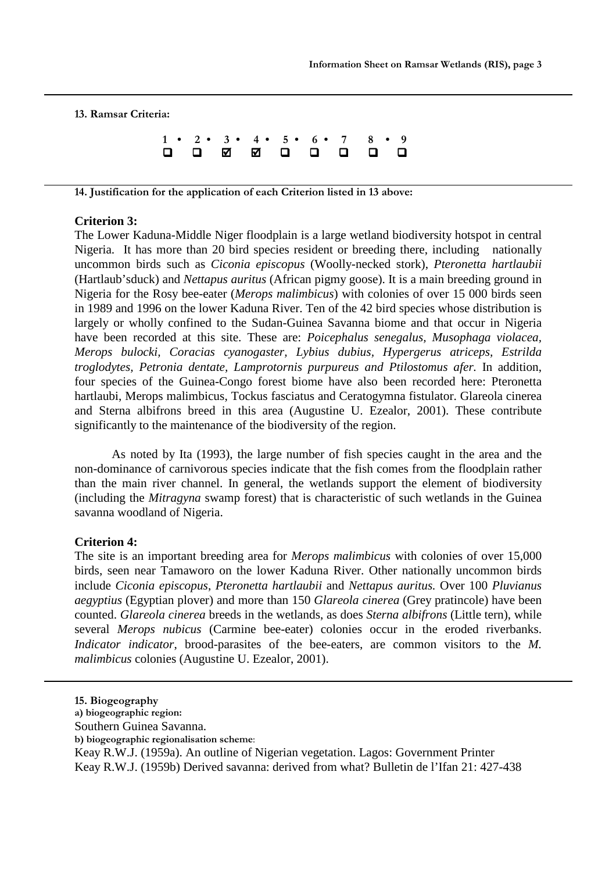**13. Ramsar Criteria:** 

**1 • 2 • 3 • 4 • 5 • 6 • 7 8 • 9**   $\Box$  $\Box$ -----

**14. Justification for the application of each Criterion listed in 13 above:** 

# **Criterion 3:**

The Lower Kaduna-Middle Niger floodplain is a large wetland biodiversity hotspot in central Nigeria. It has more than 20 bird species resident or breeding there, including nationally uncommon birds such as *Ciconia episcopus* (Woolly-necked stork), *Pteronetta hartlaubii* (Hartlaub'sduck) and *Nettapus auritus* (African pigmy goose). It is a main breeding ground in Nigeria for the Rosy bee-eater (*Merops malimbicus*) with colonies of over 15 000 birds seen in 1989 and 1996 on the lower Kaduna River. Ten of the 42 bird species whose distribution is largely or wholly confined to the Sudan-Guinea Savanna biome and that occur in Nigeria have been recorded at this site. These are: *Poicephalus senegalus, Musophaga violacea, Merops bulocki, Coracias cyanogaster, Lybius dubius, Hypergerus atriceps, Estrilda troglodytes, Petronia dentate, Lamprotornis purpureus and Ptilostomus afer.* In addition, four species of the Guinea-Congo forest biome have also been recorded here: Pteronetta hartlaubi, Merops malimbicus, Tockus fasciatus and Ceratogymna fistulator. Glareola cinerea and Sterna albifrons breed in this area (Augustine U. Ezealor, 2001). These contribute significantly to the maintenance of the biodiversity of the region.

As noted by Ita (1993), the large number of fish species caught in the area and the non-dominance of carnivorous species indicate that the fish comes from the floodplain rather than the main river channel. In general, the wetlands support the element of biodiversity (including the *Mitragyna* swamp forest) that is characteristic of such wetlands in the Guinea savanna woodland of Nigeria.

#### **Criterion 4:**

The site is an important breeding area for *Merops malimbicus* with colonies of over 15,000 birds, seen near Tamaworo on the lower Kaduna River. Other nationally uncommon birds include *Ciconia episcopus*, *Pteronetta hartlaubii* and *Nettapus auritus.* Over 100 *Pluvianus aegyptius* (Egyptian plover) and more than 150 *Glareola cinerea* (Grey pratincole) have been counted. *Glareola cinerea* breeds in the wetlands, as does *Sterna albifrons* (Little tern), while several *Merops nubicus* (Carmine bee-eater) colonies occur in the eroded riverbanks. *Indicator indicator*, brood-parasites of the bee-eaters, are common visitors to the *M*. *malimbicus* colonies (Augustine U. Ezealor, 2001).

- Southern Guinea Savanna.
- **b) biogeographic regionalisation scheme**:

Keay R.W.J. (1959a). An outline of Nigerian vegetation. Lagos: Government Printer Keay R.W.J. (1959b) Derived savanna: derived from what? Bulletin de l'Ifan 21: 427-438

**<sup>15.</sup> Biogeography**

**a) biogeographic region:**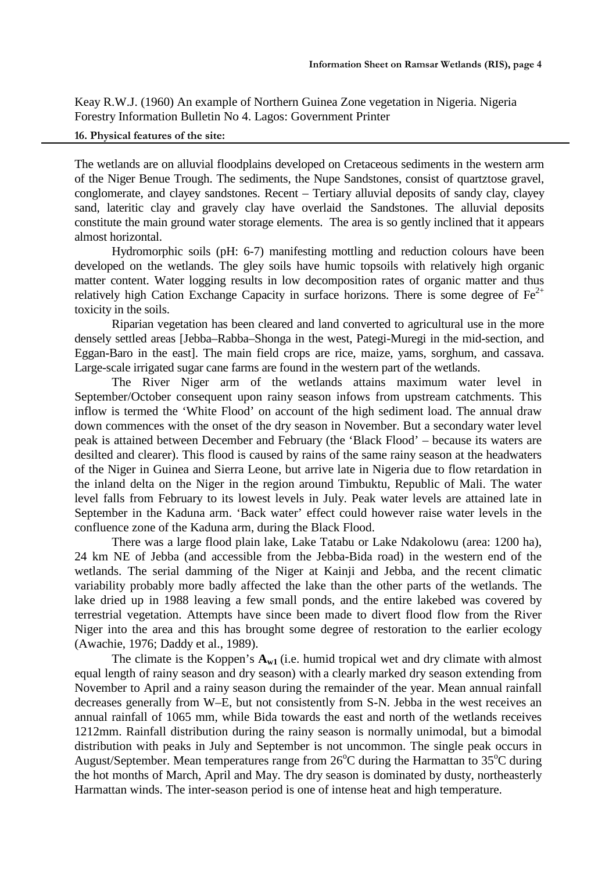Keay R.W.J. (1960) An example of Northern Guinea Zone vegetation in Nigeria. Nigeria Forestry Information Bulletin No 4. Lagos: Government Printer

**16. Physical features of the site:** 

The wetlands are on alluvial floodplains developed on Cretaceous sediments in the western arm of the Niger Benue Trough. The sediments, the Nupe Sandstones, consist of quartztose gravel, conglomerate, and clayey sandstones. Recent – Tertiary alluvial deposits of sandy clay, clayey sand, lateritic clay and gravely clay have overlaid the Sandstones. The alluvial deposits constitute the main ground water storage elements. The area is so gently inclined that it appears almost horizontal.

Hydromorphic soils (pH: 6-7) manifesting mottling and reduction colours have been developed on the wetlands. The gley soils have humic topsoils with relatively high organic matter content. Water logging results in low decomposition rates of organic matter and thus relatively high Cation Exchange Capacity in surface horizons. There is some degree of  $Fe^{2+}$ toxicity in the soils.

Riparian vegetation has been cleared and land converted to agricultural use in the more densely settled areas [Jebba–Rabba–Shonga in the west, Pategi-Muregi in the mid-section, and Eggan-Baro in the east]. The main field crops are rice, maize, yams, sorghum, and cassava. Large-scale irrigated sugar cane farms are found in the western part of the wetlands.

The River Niger arm of the wetlands attains maximum water level in September/October consequent upon rainy season infows from upstream catchments. This inflow is termed the 'White Flood' on account of the high sediment load. The annual draw down commences with the onset of the dry season in November. But a secondary water level peak is attained between December and February (the 'Black Flood' – because its waters are desilted and clearer). This flood is caused by rains of the same rainy season at the headwaters of the Niger in Guinea and Sierra Leone, but arrive late in Nigeria due to flow retardation in the inland delta on the Niger in the region around Timbuktu, Republic of Mali. The water level falls from February to its lowest levels in July. Peak water levels are attained late in September in the Kaduna arm. 'Back water' effect could however raise water levels in the confluence zone of the Kaduna arm, during the Black Flood.

There was a large flood plain lake, Lake Tatabu or Lake Ndakolowu (area: 1200 ha), 24 km NE of Jebba (and accessible from the Jebba-Bida road) in the western end of the wetlands. The serial damming of the Niger at Kainji and Jebba, and the recent climatic variability probably more badly affected the lake than the other parts of the wetlands. The lake dried up in 1988 leaving a few small ponds, and the entire lakebed was covered by terrestrial vegetation. Attempts have since been made to divert flood flow from the River Niger into the area and this has brought some degree of restoration to the earlier ecology (Awachie, 1976; Daddy et al., 1989).

The climate is the Koppen's  $A_{w1}$  (i.e. humid tropical wet and dry climate with almost equal length of rainy season and dry season) with a clearly marked dry season extending from November to April and a rainy season during the remainder of the year. Mean annual rainfall decreases generally from W–E, but not consistently from S-N. Jebba in the west receives an annual rainfall of 1065 mm, while Bida towards the east and north of the wetlands receives 1212mm. Rainfall distribution during the rainy season is normally unimodal, but a bimodal distribution with peaks in July and September is not uncommon. The single peak occurs in August/September. Mean temperatures range from  $26^{\circ}$ C during the Harmattan to  $35^{\circ}$ C during the hot months of March, April and May. The dry season is dominated by dusty, northeasterly Harmattan winds. The inter-season period is one of intense heat and high temperature.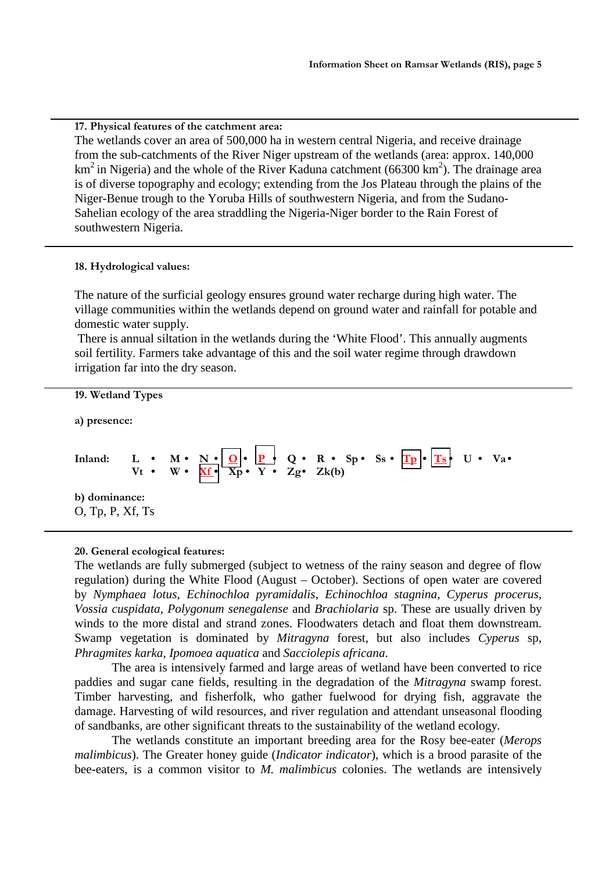#### **17. Physical features of the catchment area:**

The wetlands cover an area of 500,000 ha in western central Nigeria, and receive drainage from the sub-catchments of the River Niger upstream of the wetlands (area: approx. 140,000 km<sup>2</sup> in Nigeria) and the whole of the River Kaduna catchment (66300 km<sup>2</sup>). The drainage area is of diverse topography and ecology; extending from the Jos Plateau through the plains of the Niger-Benue trough to the Yoruba Hills of southwestern Nigeria, and from the Sudano-Sahelian ecology of the area straddling the Nigeria-Niger border to the Rain Forest of southwestern Nigeria.

#### **18. Hydrological values:**

The nature of the surficial geology ensures ground water recharge during high water. The village communities within the wetlands depend on ground water and rainfall for potable and domestic water supply.

 There is annual siltation in the wetlands during the 'White Flood'. This annually augments soil fertility. Farmers take advantage of this and the soil water regime through drawdown irrigation far into the dry season.

# **19. Wetland Types a) presence: Inland:** L • M • <u>N • | O</u> • <u>P •</u> Q • R • Sp • Ss • <mark>Tp • | Ts •</mark> U • Va •  $Vt \cdot W \cdot \underline{Xf} \cdot \overline{Xp} \cdot Y \cdot Zg \cdot Zk(b)$ **b) dominance:**  O, Tp, P, Xf, Ts

#### **20. General ecological features:**

The wetlands are fully submerged (subject to wetness of the rainy season and degree of flow regulation) during the White Flood (August – October). Sections of open water are covered by *Nymphaea lotus*, *Echinochloa pyramidalis*, *Echinochloa stagnina*, *Cyperus procerus*, *Vossia cuspidata*, *Polygonum senegalense* and *Brachiolaria* sp. These are usually driven by winds to the more distal and strand zones. Floodwaters detach and float them downstream. Swamp vegetation is dominated by *Mitragyna* forest, but also includes *Cyperus* sp, *Phragmites karka*, *Ipomoea aquatica* and *Sacciolepis africana*.

The area is intensively farmed and large areas of wetland have been converted to rice paddies and sugar cane fields, resulting in the degradation of the *Mitragyna* swamp forest. Timber harvesting, and fisherfolk, who gather fuelwood for drying fish, aggravate the damage. Harvesting of wild resources, and river regulation and attendant unseasonal flooding of sandbanks, are other significant threats to the sustainability of the wetland ecology.

The wetlands constitute an important breeding area for the Rosy bee-eater (*Merops malimbicus*). The Greater honey guide (*Indicator indicator*), which is a brood parasite of the bee-eaters, is a common visitor to *M. malimbicus* colonies. The wetlands are intensively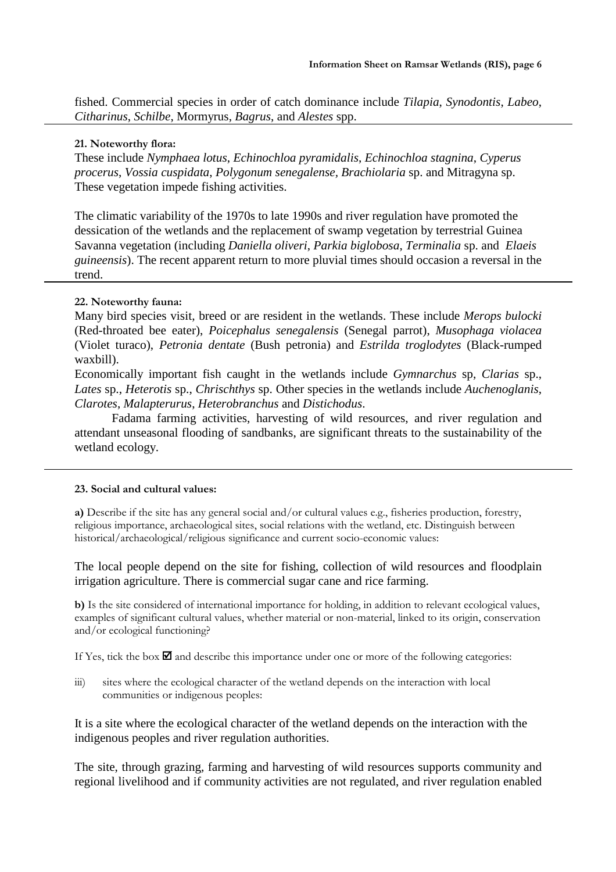fished. Commercial species in order of catch dominance include *Tilapia*, *Synodontis*, *Labeo*, *Citharinus*, *Schilbe*, Mormyrus, *Bagrus*, and *Alestes* spp.

# **21. Noteworthy flora:**

These include *Nymphaea lotus*, *Echinochloa pyramidalis*, *Echinochloa stagnina*, *Cyperus procerus*, *Vossia cuspidata*, *Polygonum senegalense, Brachiolaria* sp. and Mitragyna sp. These vegetation impede fishing activities.

The climatic variability of the 1970s to late 1990s and river regulation have promoted the dessication of the wetlands and the replacement of swamp vegetation by terrestrial Guinea Savanna vegetation (including *Daniella oliveri*, *Parkia biglobosa*, *Terminalia* sp. and *Elaeis guineensis*). The recent apparent return to more pluvial times should occasion a reversal in the trend.

#### **22. Noteworthy fauna:**

Many bird species visit, breed or are resident in the wetlands. These include *Merops bulocki* (Red-throated bee eater), *Poicephalus senegalensis* (Senegal parrot), *Musophaga violacea*  (Violet turaco), *Petronia dentate* (Bush petronia) and *Estrilda troglodytes* (Black-rumped waxbill).

Economically important fish caught in the wetlands include *Gymnarchus* sp, *Clarias* sp., *Lates* sp., *Heterotis* sp., *Chrischthys* sp. Other species in the wetlands include *Auchenoglanis*, *Clarotes*, *Malapterurus*, *Heterobranchus* and *Distichodus*.

Fadama farming activities, harvesting of wild resources, and river regulation and attendant unseasonal flooding of sandbanks, are significant threats to the sustainability of the wetland ecology.

#### **23. Social and cultural values:**

**a)** Describe if the site has any general social and/or cultural values e.g., fisheries production, forestry, religious importance, archaeological sites, social relations with the wetland, etc. Distinguish between historical/archaeological/religious significance and current socio-economic values:

The local people depend on the site for fishing, collection of wild resources and floodplain irrigation agriculture. There is commercial sugar cane and rice farming.

**b)** Is the site considered of international importance for holding, in addition to relevant ecological values, examples of significant cultural values, whether material or non-material, linked to its origin, conservation and/or ecological functioning?

If Yes, tick the box  $\blacksquare$  and describe this importance under one or more of the following categories:

iii) sites where the ecological character of the wetland depends on the interaction with local communities or indigenous peoples:

It is a site where the ecological character of the wetland depends on the interaction with the indigenous peoples and river regulation authorities.

The site, through grazing, farming and harvesting of wild resources supports community and regional livelihood and if community activities are not regulated, and river regulation enabled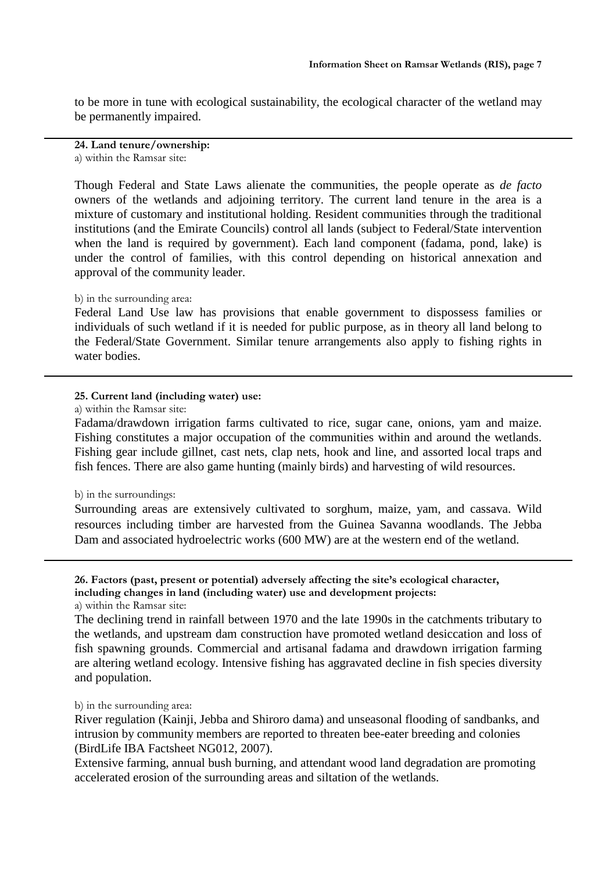to be more in tune with ecological sustainability, the ecological character of the wetland may be permanently impaired.

**24. Land tenure/ownership:**  a) within the Ramsar site:

Though Federal and State Laws alienate the communities, the people operate as *de facto* owners of the wetlands and adjoining territory. The current land tenure in the area is a mixture of customary and institutional holding. Resident communities through the traditional institutions (and the Emirate Councils) control all lands (subject to Federal/State intervention when the land is required by government). Each land component (fadama, pond, lake) is under the control of families, with this control depending on historical annexation and approval of the community leader.

#### b) in the surrounding area:

Federal Land Use law has provisions that enable government to dispossess families or individuals of such wetland if it is needed for public purpose, as in theory all land belong to the Federal/State Government. Similar tenure arrangements also apply to fishing rights in water bodies.

# **25. Current land (including water) use:**

a) within the Ramsar site:

Fadama/drawdown irrigation farms cultivated to rice, sugar cane, onions, yam and maize. Fishing constitutes a major occupation of the communities within and around the wetlands. Fishing gear include gillnet, cast nets, clap nets, hook and line, and assorted local traps and fish fences. There are also game hunting (mainly birds) and harvesting of wild resources.

#### b) in the surroundings:

Surrounding areas are extensively cultivated to sorghum, maize, yam, and cassava. Wild resources including timber are harvested from the Guinea Savanna woodlands. The Jebba Dam and associated hydroelectric works (600 MW) are at the western end of the wetland.

**26. Factors (past, present or potential) adversely affecting the site's ecological character, including changes in land (including water) use and development projects:** 

a) within the Ramsar site:

The declining trend in rainfall between 1970 and the late 1990s in the catchments tributary to the wetlands, and upstream dam construction have promoted wetland desiccation and loss of fish spawning grounds. Commercial and artisanal fadama and drawdown irrigation farming are altering wetland ecology. Intensive fishing has aggravated decline in fish species diversity and population.

#### b) in the surrounding area:

River regulation (Kainji, Jebba and Shiroro dama) and unseasonal flooding of sandbanks, and intrusion by community members are reported to threaten bee-eater breeding and colonies (BirdLife IBA Factsheet NG012, 2007).

Extensive farming, annual bush burning, and attendant wood land degradation are promoting accelerated erosion of the surrounding areas and siltation of the wetlands.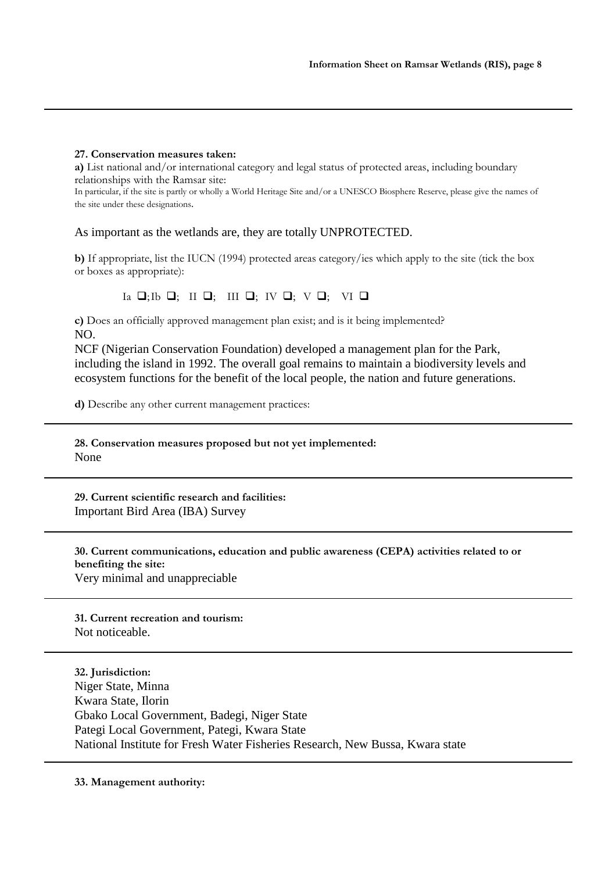#### **27. Conservation measures taken:**

**a)** List national and/or international category and legal status of protected areas, including boundary relationships with the Ramsar site:

In particular, if the site is partly or wholly a World Heritage Site and/or a UNESCO Biosphere Reserve, please give the names of the site under these designations.

# As important as the wetlands are, they are totally UNPROTECTED.

**b)** If appropriate, list the IUCN (1994) protected areas category/ies which apply to the site (tick the box or boxes as appropriate):

# $Ia \Box; Ib \Box; II \Box; III \Box; IV \Box; V \Box; VI \Box$

**c)** Does an officially approved management plan exist; and is it being implemented? NO.

NCF (Nigerian Conservation Foundation) developed a management plan for the Park, including the island in 1992. The overall goal remains to maintain a biodiversity levels and ecosystem functions for the benefit of the local people, the nation and future generations.

**d)** Describe any other current management practices:

**28. Conservation measures proposed but not yet implemented:**  None

**29. Current scientific research and facilities:**  Important Bird Area (IBA) Survey

# **30. Current communications, education and public awareness (CEPA) activities related to or benefiting the site:**  Very minimal and unappreciable

**31. Current recreation and tourism:**  Not noticeable.

**32. Jurisdiction:**  Niger State, Minna Kwara State, Ilorin Gbako Local Government, Badegi, Niger State Pategi Local Government, Pategi, Kwara State National Institute for Fresh Water Fisheries Research, New Bussa, Kwara state

#### **33. Management authority:**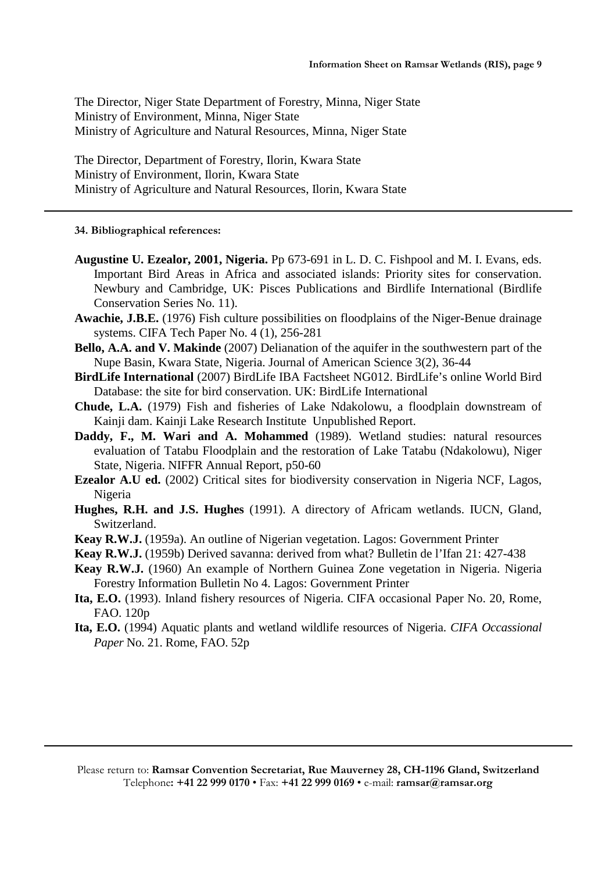The Director, Niger State Department of Forestry, Minna, Niger State Ministry of Environment, Minna, Niger State Ministry of Agriculture and Natural Resources, Minna, Niger State

The Director, Department of Forestry, Ilorin, Kwara State Ministry of Environment, Ilorin, Kwara State Ministry of Agriculture and Natural Resources, Ilorin, Kwara State

**34. Bibliographical references:** 

- **Augustine U. Ezealor, 2001, Nigeria.** Pp 673-691 in L. D. C. Fishpool and M. I. Evans, eds. Important Bird Areas in Africa and associated islands: Priority sites for conservation. Newbury and Cambridge, UK: Pisces Publications and Birdlife International (Birdlife Conservation Series No. 11).
- **Awachie, J.B.E.** (1976) Fish culture possibilities on floodplains of the Niger-Benue drainage systems. CIFA Tech Paper No. 4 (1), 256-281
- **Bello, A.A. and V. Makinde** (2007) Delianation of the aquifer in the southwestern part of the Nupe Basin, Kwara State, Nigeria. Journal of American Science 3(2), 36-44
- **BirdLife International** (2007) BirdLife IBA Factsheet NG012. BirdLife's online World Bird Database: the site for bird conservation. UK: BirdLife International
- **Chude, L.A.** (1979) Fish and fisheries of Lake Ndakolowu, a floodplain downstream of Kainji dam. Kainji Lake Research Institute Unpublished Report.
- **Daddy, F., M. Wari and A. Mohammed** (1989). Wetland studies: natural resources evaluation of Tatabu Floodplain and the restoration of Lake Tatabu (Ndakolowu), Niger State, Nigeria. NIFFR Annual Report, p50-60
- **Ezealor A.U ed.** (2002) Critical sites for biodiversity conservation in Nigeria NCF, Lagos, Nigeria
- **Hughes, R.H. and J.S. Hughes** (1991). A directory of Africam wetlands. IUCN, Gland, Switzerland.
- **Keay R.W.J.** (1959a). An outline of Nigerian vegetation. Lagos: Government Printer
- **Keay R.W.J.** (1959b) Derived savanna: derived from what? Bulletin de l'Ifan 21: 427-438
- **Keay R.W.J.** (1960) An example of Northern Guinea Zone vegetation in Nigeria. Nigeria Forestry Information Bulletin No 4. Lagos: Government Printer
- **Ita, E.O.** (1993). Inland fishery resources of Nigeria. CIFA occasional Paper No. 20, Rome, FAO. 120p
- **Ita, E.O.** (1994) Aquatic plants and wetland wildlife resources of Nigeria. *CIFA Occassional Paper* No. 21. Rome, FAO. 52p